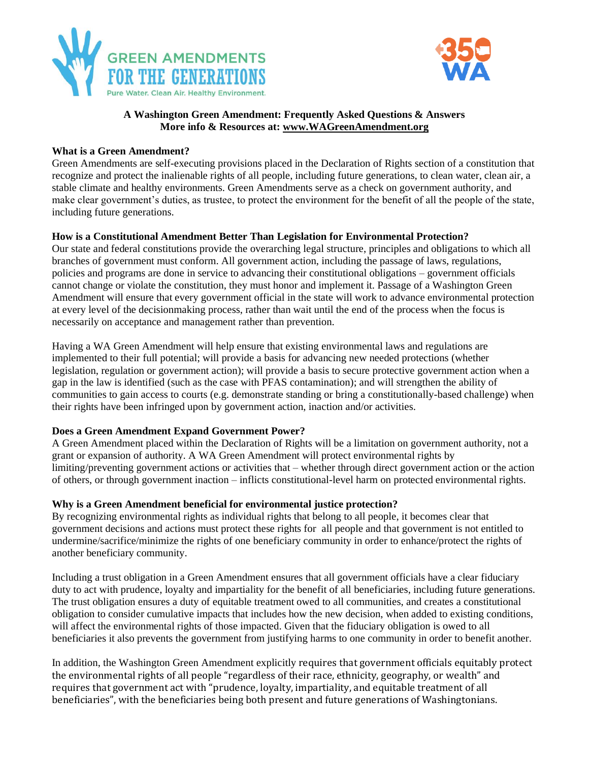



# **A Washington Green Amendment: Frequently Asked Questions & Answers More info & Resources at: [www.WAGreenAmendment.org](http://www.wagreenamendment.org/)**

## **What is a Green Amendment?**

Green Amendments are self-executing provisions placed in the Declaration of Rights section of a constitution that recognize and protect the inalienable rights of all people, including future generations, to clean water, clean air, a stable climate and healthy environments. Green Amendments serve as a check on government authority, and make clear government's duties, as trustee, to protect the environment for the benefit of all the people of the state, including future generations.

## **How is a Constitutional Amendment Better Than Legislation for Environmental Protection?**

Our state and federal constitutions provide the overarching legal structure, principles and obligations to which all branches of government must conform. All government action, including the passage of laws, regulations, policies and programs are done in service to advancing their constitutional obligations – government officials cannot change or violate the constitution, they must honor and implement it. Passage of a Washington Green Amendment will ensure that every government official in the state will work to advance environmental protection at every level of the decisionmaking process, rather than wait until the end of the process when the focus is necessarily on acceptance and management rather than prevention.

Having a WA Green Amendment will help ensure that existing environmental laws and regulations are implemented to their full potential; will provide a basis for advancing new needed protections (whether legislation, regulation or government action); will provide a basis to secure protective government action when a gap in the law is identified (such as the case with PFAS contamination); and will strengthen the ability of communities to gain access to courts (e.g. demonstrate standing or bring a constitutionally-based challenge) when their rights have been infringed upon by government action, inaction and/or activities.

#### **Does a Green Amendment Expand Government Power?**

A Green Amendment placed within the Declaration of Rights will be a limitation on government authority, not a grant or expansion of authority. A WA Green Amendment will protect environmental rights by limiting/preventing government actions or activities that – whether through direct government action or the action of others, or through government inaction – inflicts constitutional-level harm on protected environmental rights.

#### **Why is a Green Amendment beneficial for environmental justice protection?**

By recognizing environmental rights as individual rights that belong to all people, it becomes clear that government decisions and actions must protect these rights for all people and that government is not entitled to undermine/sacrifice/minimize the rights of one beneficiary community in order to enhance/protect the rights of another beneficiary community.

Including a trust obligation in a Green Amendment ensures that all government officials have a clear fiduciary duty to act with prudence, loyalty and impartiality for the benefit of all beneficiaries, including future generations. The trust obligation ensures a duty of equitable treatment owed to all communities, and creates a constitutional obligation to consider cumulative impacts that includes how the new decision, when added to existing conditions, will affect the environmental rights of those impacted. Given that the fiduciary obligation is owed to all beneficiaries it also prevents the government from justifying harms to one community in order to benefit another.

In addition, the Washington Green Amendment explicitly requires that government officials equitably protect the environmental rights of all people "regardless of their race, ethnicity, geography, or wealth" and requires that government act with "prudence, loyalty, impartiality, and equitable treatment of all beneficiaries", with the beneficiaries being both present and future generations of Washingtonians.